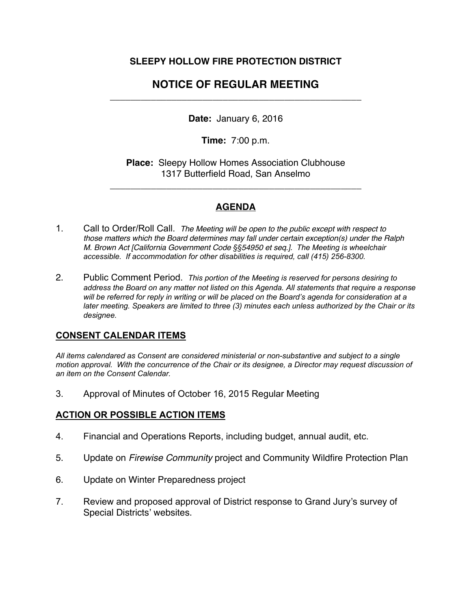# **SLEEPY HOLLOW FIRE PROTECTION DISTRICT**

# **NOTICE OF REGULAR MEETING**  \_\_\_\_\_\_\_\_\_\_\_\_\_\_\_\_\_\_\_\_\_\_\_\_\_\_\_\_\_\_\_\_\_\_\_\_\_\_\_\_\_\_\_\_\_\_\_\_\_

**Date:** January 6, 2016

**Time:** 7:00 p.m.

**Place:** Sleepy Hollow Homes Association Clubhouse 1317 Butterfield Road, San Anselmo

\_\_\_\_\_\_\_\_\_\_\_\_\_\_\_\_\_\_\_\_\_\_\_\_\_\_\_\_\_\_\_\_\_\_\_\_\_\_\_\_\_\_\_\_\_\_\_\_\_

## **AGENDA**

- 1. Call to Order/Roll Call. *The Meeting will be open to the public except with respect to those matters which the Board determines may fall under certain exception(s) under the Ralph M. Brown Act [California Government Code §§54950 et seq.]. The Meeting is wheelchair accessible. If accommodation for other disabilities is required, call (415) 256-8300.*
- 2. Public Comment Period. *This portion of the Meeting is reserved for persons desiring to address the Board on any matter not listed on this Agenda. All statements that require a response will be referred for reply in writing or will be placed on the Board's agenda for consideration at a later meeting. Speakers are limited to three (3) minutes each unless authorized by the Chair or its designee.*

### **CONSENT CALENDAR ITEMS**

*All items calendared as Consent are considered ministerial or non-substantive and subject to a single motion approval. With the concurrence of the Chair or its designee, a Director may request discussion of an item on the Consent Calendar.*

3. Approval of Minutes of October 16, 2015 Regular Meeting

# **ACTION OR POSSIBLE ACTION ITEMS**

- 4. Financial and Operations Reports, including budget, annual audit, etc.
- 5. Update on *Firewise Community* project and Community Wildfire Protection Plan
- 6. Update on Winter Preparedness project
- 7. Review and proposed approval of District response to Grand Jury's survey of Special Districts' websites.